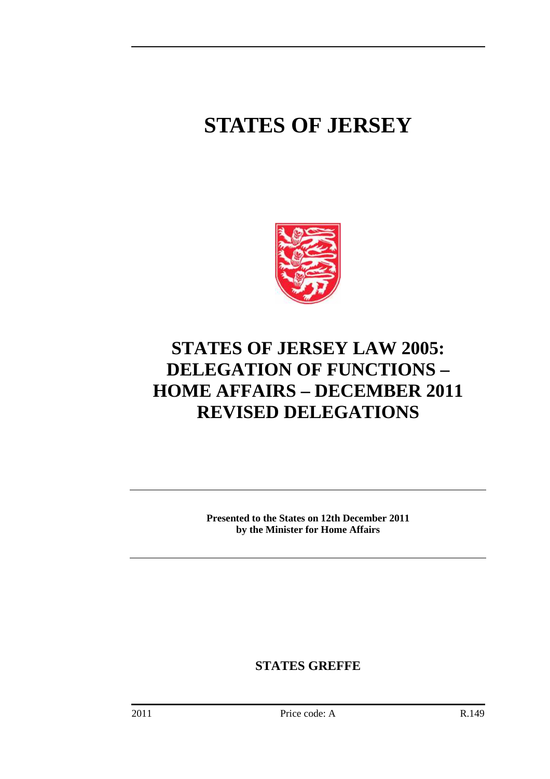# **STATES OF JERSEY**



## **STATES OF JERSEY LAW 2005: DELEGATION OF FUNCTIONS – HOME AFFAIRS – DECEMBER 2011 REVISED DELEGATIONS**

**Presented to the States on 12th December 2011 by the Minister for Home Affairs** 

**STATES GREFFE**